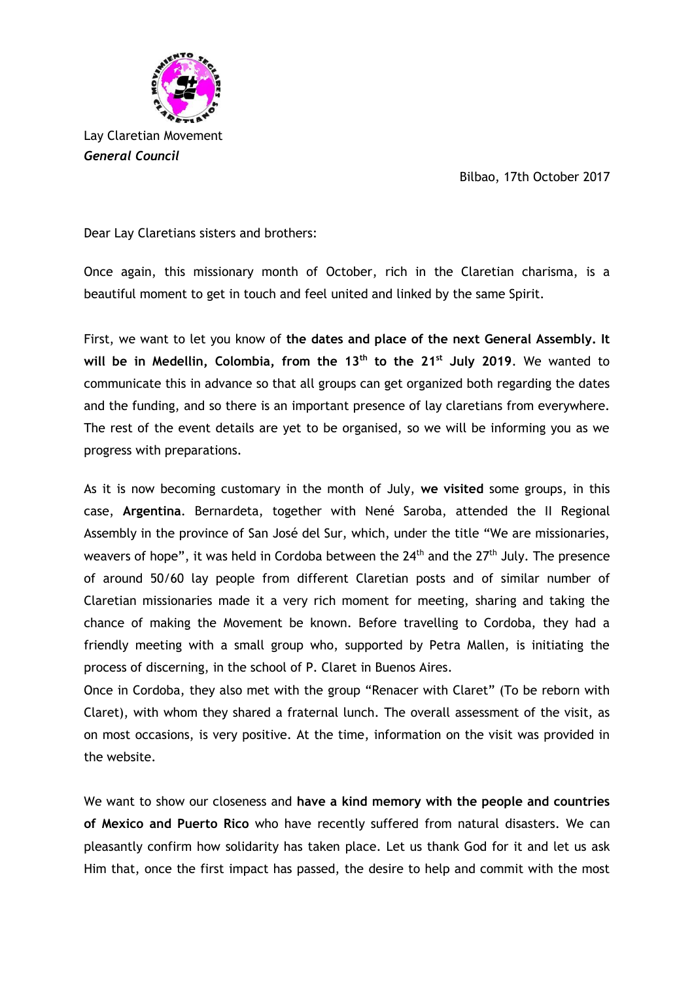Bilbao, 17th October 2017



*General Council*

Dear Lay Claretians sisters and brothers:

Once again, this missionary month of October, rich in the Claretian charisma, is a beautiful moment to get in touch and feel united and linked by the same Spirit.

First, we want to let you know of **the dates and place of the next General Assembly. It will be in Medellin, Colombia, from the 13th to the 21st July 2019**. We wanted to communicate this in advance so that all groups can get organized both regarding the dates and the funding, and so there is an important presence of lay claretians from everywhere. The rest of the event details are yet to be organised, so we will be informing you as we progress with preparations.

As it is now becoming customary in the month of July, **we visited** some groups, in this case, **Argentina**. Bernardeta, together with Nené Saroba, attended the II Regional Assembly in the province of San José del Sur, which, under the title "We are missionaries, weavers of hope", it was held in Cordoba between the  $24<sup>th</sup>$  and the  $27<sup>th</sup>$  July. The presence of around 50/60 lay people from different Claretian posts and of similar number of Claretian missionaries made it a very rich moment for meeting, sharing and taking the chance of making the Movement be known. Before travelling to Cordoba, they had a friendly meeting with a small group who, supported by Petra Mallen, is initiating the process of discerning, in the school of P. Claret in Buenos Aires.

Once in Cordoba, they also met with the group "Renacer with Claret" (To be reborn with Claret), with whom they shared a fraternal lunch. The overall assessment of the visit, as on most occasions, is very positive. At the time, information on the visit was provided in the website.

We want to show our closeness and **have a kind memory with the people and countries of Mexico and Puerto Rico** who have recently suffered from natural disasters. We can pleasantly confirm how solidarity has taken place. Let us thank God for it and let us ask Him that, once the first impact has passed, the desire to help and commit with the most